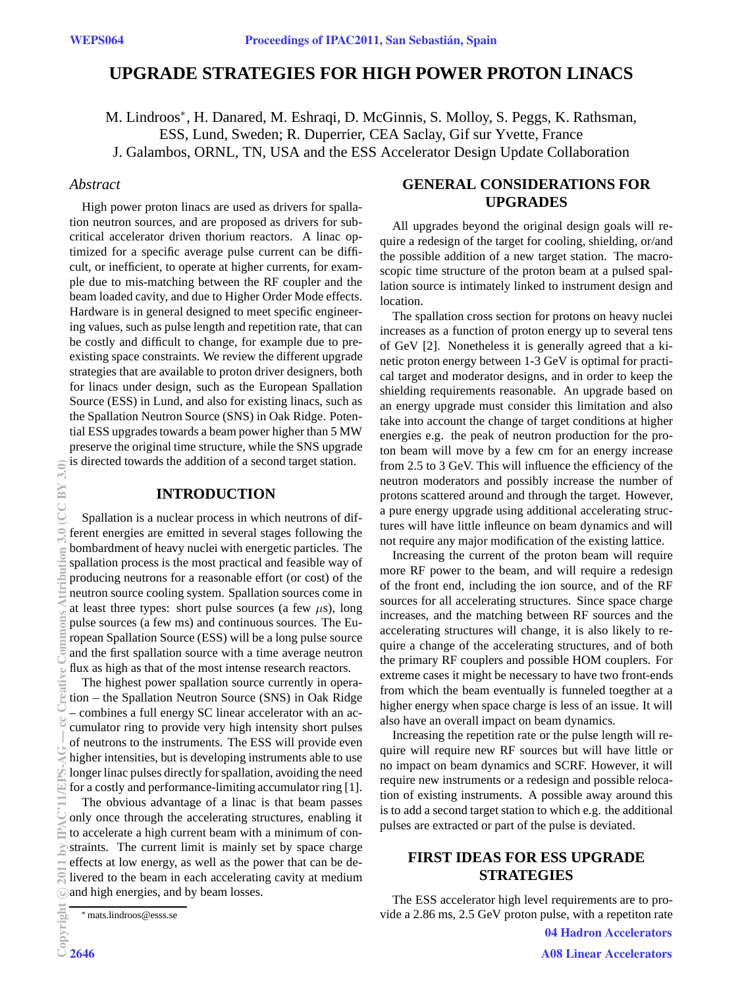# **UPGRADE STRATEGIES FOR HIGH POWER PROTON LINACS**

M. Lindroos<sup>\*</sup>, H. Danared, M. Eshraqi, D. McGinnis, S. Molloy, S. Peggs, K. Rathsman, ESS, Lund, Sweden; R. Duperrier, CEA Saclay, Gif sur Yvette, France J. Galambos, ORNL, TN, USA and the ESS Accelerator Design Update Collaboration

## *Abstract*

High power proton linacs are used as drivers for spallation neutron sources, and are proposed as drivers for subcritical accelerator driven thorium reactors. A linac optimized for a specific average pulse current can be difficult, or inefficient, to operate at higher currents, for example due to mis-matching between the RF coupler and the beam loaded cavity, and due to Higher Order Mode effects. Hardware is in general designed to meet specific engineering values, such as pulse length and repetition rate, that can be costly and difficult to change, for example due to preexisting space constraints. We review the different upgrade strategies that are available to proton driver designers, both for linacs under design, such as the European Spallation Source (ESS) in Lund, and also for existing linacs, such as the Spallation Neutron Source (SNS) in Oak Ridge. Potential ESS upgrades towards a beam power higher than 5 MW preserve the original time structure, while the SNS upgrade is directed towards the addition of a second target station.

### **INTRODUCTION**

Spallation is a nuclear process in which neutrons of different energies are emitted in several stages following the bombardment of heavy nuclei with energetic particles. The spallation process is the most practical and feasible way of producing neutrons for a reasonable effort (or cost) of the neutron source cooling system. Spallation sources come in at least three types: short pulse sources (a few  $\mu$ s), long pulse sources (a few ms) and continuous sources. The European Spallation Source (ESS) will be a long pulse source and the first spallation source with a time average neutron flux as high as that of the most intense research reactors.

The highest power spallation source currently in operation – the Spallation Neutron Source (SNS) in Oak Ridge – combines a full energy SC linear accelerator with an accumulator ring to provide very high intensity short pulses of neutrons to the instruments. The ESS will provide even higher intensities, but is developing instruments able to use longer linac pulses directly for spallation, avoiding the need for a costly and performance-limiting accumulator ring [1].

The obvious advantage of a linac is that beam passes only once through the accelerating structures, enabling it to accelerate a high current beam with a minimum of constraints. The current limit is mainly set by space charge effects at low energy, as well as the power that can be delivered to the beam in each accelerating cavity at medium and high energies, and by beam losses.

# **GENERAL CONSIDERATIONS FOR UPGRADES**

All upgrades beyond the original design goals will require a redesign of the target for cooling, shielding, or/and the possible addition of a new target station. The macroscopic time structure of the proton beam at a pulsed spallation source is intimately linked to instrument design and location.

The spallation cross section for protons on heavy nuclei increases as a function of proton energy up to several tens of GeV [2]. Nonetheless it is generally agreed that a kinetic proton energy between 1-3 GeV is optimal for practical target and moderator designs, and in order to keep the shielding requirements reasonable. An upgrade based on an energy upgrade must consider this limitation and also take into account the change of target conditions at higher energies e.g. the peak of neutron production for the proton beam will move by a few cm for an energy increase from 2.5 to 3 GeV. This will influence the efficiency of the neutron moderators and possibly increase the number of protons scattered around and through the target. However, a pure energy upgrade using additional accelerating structures will have little infleunce on beam dynamics and will not require any major modification of the existing lattice.

Increasing the current of the proton beam will require more RF power to the beam, and will require a redesign of the front end, including the ion source, and of the RF sources for all accelerating structures. Since space charge increases, and the matching between RF sources and the accelerating structures will change, it is also likely to require a change of the accelerating structures, and of both the primary RF couplers and possible HOM couplers. For extreme cases it might be necessary to have two front-ends from which the beam eventually is funneled toegther at a higher energy when space charge is less of an issue. It will also have an overall impact on beam dynamics.

Increasing the repetition rate or the pulse length will require will require new RF sources but will have little or no impact on beam dynamics and SCRF. However, it will require new instruments or a redesign and possible relocation of existing instruments. A possible away around this is to add a second target station to which e.g. the additional pulses are extracted or part of the pulse is deviated.

# **FIRST IDEAS FOR ESS UPGRADE STRATEGIES**

The ESS accelerator high level requirements are to provide a 2.86 ms, 2.5 GeV proton pulse, with a repetiton rate

<sup>∗</sup>mats.lindroos@esss.se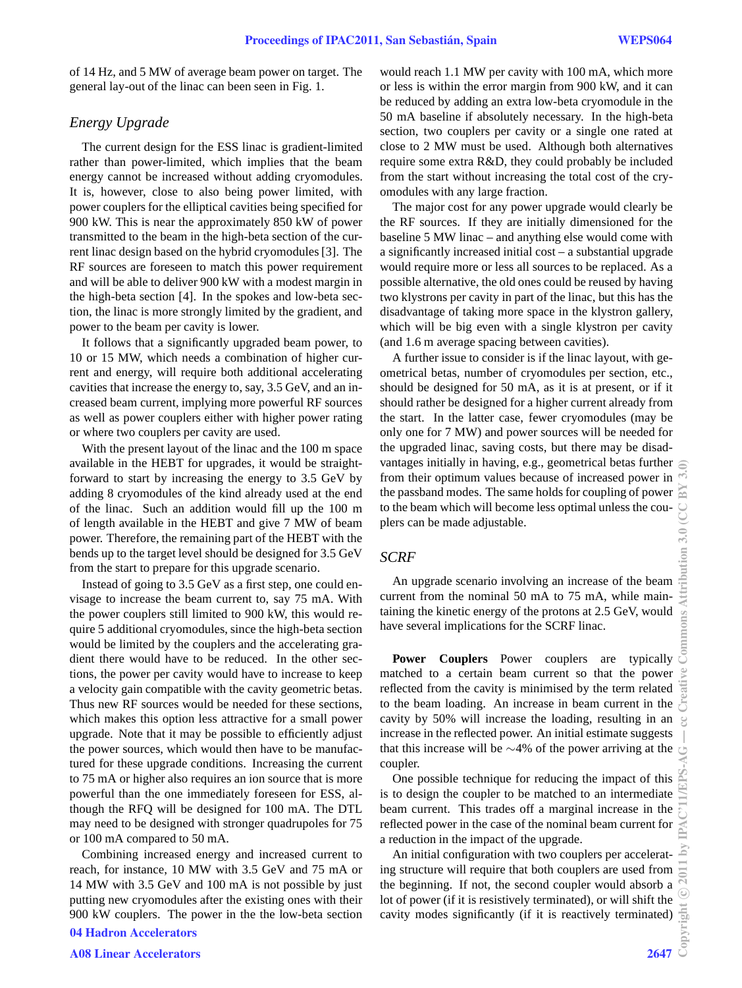of 14 Hz, and 5 MW of average beam power on target. The general lay-out of the linac can been seen in Fig. 1.

# *Energy Upgrade*

The current design for the ESS linac is gradient-limited rather than power-limited, which implies that the beam energy cannot be increased without adding cryomodules. It is, however, close to also being power limited, with power couplers for the elliptical cavities being specified for 900 kW. This is near the approximately 850 kW of power transmitted to the beam in the high-beta section of the current linac design based on the hybrid cryomodules [3]. The RF sources are foreseen to match this power requirement and will be able to deliver 900 kW with a modest margin in the high-beta section [4]. In the spokes and low-beta section, the linac is more strongly limited by the gradient, and power to the beam per cavity is lower.

It follows that a significantly upgraded beam power, to 10 or 15 MW, which needs a combination of higher current and energy, will require both additional accelerating cavities that increase the energy to, say, 3.5 GeV, and an increased beam current, implying more powerful RF sources as well as power couplers either with higher power rating or where two couplers per cavity are used.

With the present layout of the linac and the 100 m space available in the HEBT for upgrades, it would be straightforward to start by increasing the energy to 3.5 GeV by adding 8 cryomodules of the kind already used at the end of the linac. Such an addition would fill up the 100 m of length available in the HEBT and give 7 MW of beam power. Therefore, the remaining part of the HEBT with the bends up to the target level should be designed for 3.5 GeV from the start to prepare for this upgrade scenario.

Instead of going to 3.5 GeV as a first step, one could envisage to increase the beam current to, say 75 mA. With the power couplers still limited to 900 kW, this would require 5 additional cryomodules, since the high-beta section would be limited by the couplers and the accelerating gradient there would have to be reduced. In the other sections, the power per cavity would have to increase to keep a velocity gain compatible with the cavity geometric betas. Thus new RF sources would be needed for these sections, which makes this option less attractive for a small power upgrade. Note that it may be possible to efficiently adjust the power sources, which would then have to be manufactured for these upgrade conditions. Increasing the current to 75 mA or higher also requires an ion source that is more powerful than the one immediately foreseen for ESS, although the RFQ will be designed for 100 mA. The DTL may need to be designed with stronger quadrupoles for 75 or 100 mA compared to 50 mA.

Combining increased energy and increased current to reach, for instance, 10 MW with 3.5 GeV and 75 mA or 14 MW with 3.5 GeV and 100 mA is not possible by just putting new cryomodules after the existing ones with their 900 kW couplers. The power in the the low-beta section 04 Hadron Accelerators

would reach 1.1 MW per cavity with 100 mA, which more or less is within the error margin from 900 kW, and it can be reduced by adding an extra low-beta cryomodule in the 50 mA baseline if absolutely necessary. In the high-beta section, two couplers per cavity or a single one rated at close to 2 MW must be used. Although both alternatives require some extra R&D, they could probably be included from the start without increasing the total cost of the cryomodules with any large fraction.

The major cost for any power upgrade would clearly be the RF sources. If they are initially dimensioned for the baseline 5 MW linac – and anything else would come with a significantly increased initial cost – a substantial upgrade would require more or less all sources to be replaced. As a possible alternative, the old ones could be reused by having two klystrons per cavity in part of the linac, but this has the disadvantage of taking more space in the klystron gallery, which will be big even with a single klystron per cavity (and 1.6 m average spacing between cavities).

A further issue to consider is if the linac layout, with geometrical betas, number of cryomodules per section, etc., should be designed for 50 mA, as it is at present, or if it should rather be designed for a higher current already from the start. In the latter case, fewer cryomodules (may be only one for 7 MW) and power sources will be needed for the upgraded linac, saving costs, but there may be disadvantages initially in having, e.g., geometrical betas further from their optimum values because of increased power in the passband modes. The same holds for coupling of power to the beam which will become less optimal unless the couplers can be made adjustable.

#### *SCRF*

An upgrade scenario involving an increase of the beam current from the nominal 50 mA to 75 mA, while maintaining the kinetic energy of the protons at 2.5 GeV, would have several implications for the SCRF linac.

**Power Couplers** Power couplers are typically matched to a certain beam current so that the power reflected from the cavity is minimised by the term related to the beam loading. An increase in beam current in the cavity by 50% will increase the loading, resulting in an increase in the reflected power. An initial estimate suggests that this increase will be ∼4% of the power arriving at the coupler.

One possible technique for reducing the impact of this is to design the coupler to be matched to an intermediate beam current. This trades off a marginal increase in the reflected power in the case of the nominal beam current for a reduction in the impact of the upgrade.

An initial configuration with two couplers per accelerating structure will require that both couplers are used from the beginning. If not, the second coupler would absorb a lot of power (if it is resistively terminated), or will shift the cavity modes significantly (if it is reactively terminated)